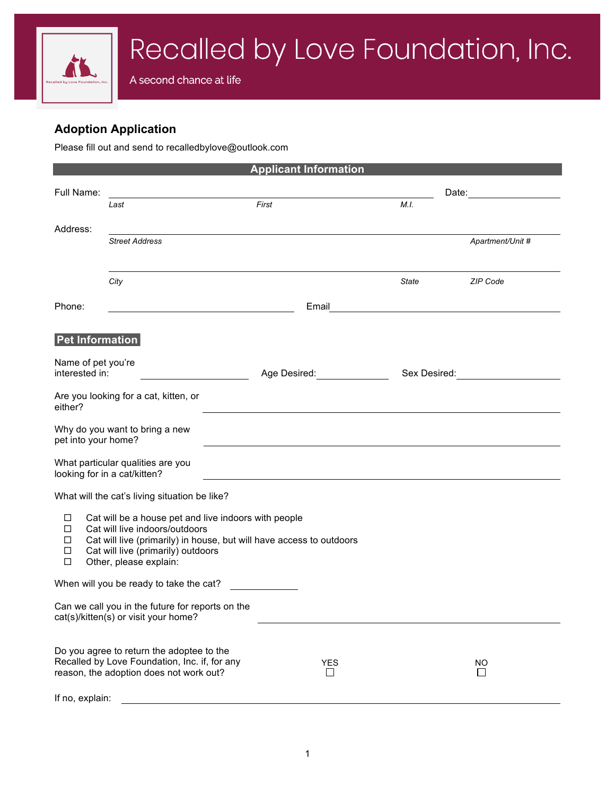## **Adoption Application**

Please fill out and send to recalledbylove@outlook.com

| <b>Applicant Information</b>                                                                                                                                                                                                                                 |                                                                                                                                       |  |       |                                                                                                                                                                                                                                |       |                                            |  |
|--------------------------------------------------------------------------------------------------------------------------------------------------------------------------------------------------------------------------------------------------------------|---------------------------------------------------------------------------------------------------------------------------------------|--|-------|--------------------------------------------------------------------------------------------------------------------------------------------------------------------------------------------------------------------------------|-------|--------------------------------------------|--|
| Full Name:                                                                                                                                                                                                                                                   |                                                                                                                                       |  |       |                                                                                                                                                                                                                                |       |                                            |  |
|                                                                                                                                                                                                                                                              | Last                                                                                                                                  |  | First |                                                                                                                                                                                                                                | M.I.  |                                            |  |
|                                                                                                                                                                                                                                                              |                                                                                                                                       |  |       |                                                                                                                                                                                                                                |       |                                            |  |
| Address:                                                                                                                                                                                                                                                     | <b>Street Address</b>                                                                                                                 |  |       |                                                                                                                                                                                                                                |       | Apartment/Unit #                           |  |
|                                                                                                                                                                                                                                                              |                                                                                                                                       |  |       |                                                                                                                                                                                                                                |       |                                            |  |
|                                                                                                                                                                                                                                                              | City                                                                                                                                  |  |       |                                                                                                                                                                                                                                | State | <b>ZIP Code</b>                            |  |
|                                                                                                                                                                                                                                                              |                                                                                                                                       |  |       |                                                                                                                                                                                                                                |       |                                            |  |
| Phone:                                                                                                                                                                                                                                                       |                                                                                                                                       |  |       |                                                                                                                                                                                                                                |       | Email <u>_____________________________</u> |  |
| <b>Pet Information</b>                                                                                                                                                                                                                                       |                                                                                                                                       |  |       |                                                                                                                                                                                                                                |       |                                            |  |
| Name of pet you're                                                                                                                                                                                                                                           |                                                                                                                                       |  |       |                                                                                                                                                                                                                                |       |                                            |  |
| interested in:                                                                                                                                                                                                                                               |                                                                                                                                       |  |       | Age Desired: Network and Separate and Separate and Separate and Separate and Separate and Separate and Separate and Separate and Separate and Separate and Separate and Separate and Separate and Separate and Separate and Se |       | Sex Desired: National Assembly Contained:  |  |
| Are you looking for a cat, kitten, or<br>either?                                                                                                                                                                                                             |                                                                                                                                       |  |       |                                                                                                                                                                                                                                |       |                                            |  |
| Why do you want to bring a new<br>pet into your home?                                                                                                                                                                                                        |                                                                                                                                       |  |       |                                                                                                                                                                                                                                |       |                                            |  |
| What particular qualities are you<br>looking for in a cat/kitten?                                                                                                                                                                                            |                                                                                                                                       |  |       |                                                                                                                                                                                                                                |       |                                            |  |
| What will the cat's living situation be like?                                                                                                                                                                                                                |                                                                                                                                       |  |       |                                                                                                                                                                                                                                |       |                                            |  |
| Cat will be a house pet and live indoors with people<br>□<br>Cat will live indoors/outdoors<br>□<br>Cat will live (primarily) in house, but will have access to outdoors<br>□<br>Cat will live (primarily) outdoors<br>◻<br>$\Box$<br>Other, please explain: |                                                                                                                                       |  |       |                                                                                                                                                                                                                                |       |                                            |  |
| When will you be ready to take the cat?                                                                                                                                                                                                                      |                                                                                                                                       |  |       |                                                                                                                                                                                                                                |       |                                            |  |
| Can we call you in the future for reports on the<br>cat(s)/kitten(s) or visit your home?                                                                                                                                                                     |                                                                                                                                       |  |       |                                                                                                                                                                                                                                |       |                                            |  |
|                                                                                                                                                                                                                                                              | Do you agree to return the adoptee to the<br>Recalled by Love Foundation, Inc. if, for any<br>reason, the adoption does not work out? |  |       | <b>YES</b><br>$\mathbf{I}$                                                                                                                                                                                                     |       | NO<br>$\mathsf{L}$                         |  |
| If no, explain:                                                                                                                                                                                                                                              |                                                                                                                                       |  |       |                                                                                                                                                                                                                                |       |                                            |  |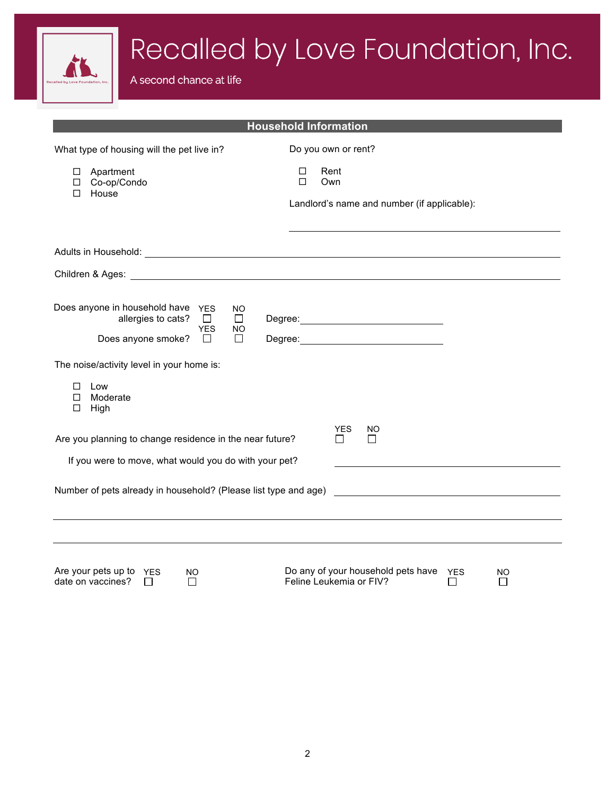

| Do any of your household pets have $YES$<br>Are your pets up to $YES$<br>NO<br>date on vaccines?<br>Feline Leukemia or FIV? | NO. |
|-----------------------------------------------------------------------------------------------------------------------------|-----|
|-----------------------------------------------------------------------------------------------------------------------------|-----|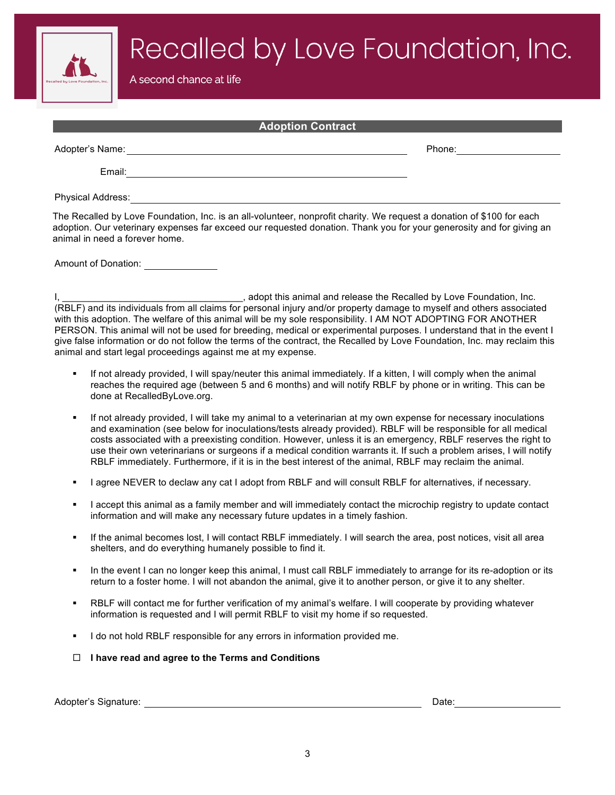Recalled by Love Foundation, Inc.

A second chance at life

| <b>Adoption Contract</b>                                                                                              |  |        |  |  |  |  |  |
|-----------------------------------------------------------------------------------------------------------------------|--|--------|--|--|--|--|--|
| Adopter's Name:                                                                                                       |  | Phone: |  |  |  |  |  |
| Email:                                                                                                                |  |        |  |  |  |  |  |
| <b>Physical Address:</b>                                                                                              |  |        |  |  |  |  |  |
| The Recalled by Love Foundation, Inc. is an all-volunteer, nonprofit charity. We request a donation of \$100 for each |  |        |  |  |  |  |  |

adoption. Our veterinary expenses far exceed our requested donation. Thank you for your generosity and for giving an animal in need a forever home.

Amount of Donation:

I, \_\_\_\_\_\_\_\_\_\_\_\_\_\_\_\_\_\_\_\_\_\_\_\_\_\_\_\_\_\_\_\_\_\_\_, adopt this animal and release the Recalled by Love Foundation, Inc. (RBLF) and its individuals from all claims for personal injury and/or property damage to myself and others associated with this adoption. The welfare of this animal will be my sole responsibility. I AM NOT ADOPTING FOR ANOTHER PERSON. This animal will not be used for breeding, medical or experimental purposes. I understand that in the event I give false information or do not follow the terms of the contract, the Recalled by Love Foundation, Inc. may reclaim this animal and start legal proceedings against me at my expense.

- If not already provided, I will spay/neuter this animal immediately. If a kitten, I will comply when the animal reaches the required age (between 5 and 6 months) and will notify RBLF by phone or in writing. This can be done at RecalledByLove.org.
- If not already provided, I will take my animal to a veterinarian at my own expense for necessary inoculations and examination (see below for inoculations/tests already provided). RBLF will be responsible for all medical costs associated with a preexisting condition. However, unless it is an emergency, RBLF reserves the right to use their own veterinarians or surgeons if a medical condition warrants it. If such a problem arises, I will notify RBLF immediately. Furthermore, if it is in the best interest of the animal, RBLF may reclaim the animal.
- I agree NEVER to declaw any cat I adopt from RBLF and will consult RBLF for alternatives, if necessary.
- I accept this animal as a family member and will immediately contact the microchip registry to update contact information and will make any necessary future updates in a timely fashion.
- If the animal becomes lost, I will contact RBLF immediately. I will search the area, post notices, visit all area shelters, and do everything humanely possible to find it.
- In the event I can no longer keep this animal, I must call RBLF immediately to arrange for its re-adoption or its return to a foster home. I will not abandon the animal, give it to another person, or give it to any shelter.
- RBLF will contact me for further verification of my animal's welfare. I will cooperate by providing whatever information is requested and I will permit RBLF to visit my home if so requested.
- I do not hold RBLF responsible for any errors in information provided me.
- ¨ **I have read and agree to the Terms and Conditions**

Adopter's Signature: Date: Date: Date: Date: Date: Date: Date: Date: Date: Date: Date: Date: Date: Date: Date: Date: Date: Date: Date: Date: Date: Date: Date: Date: Date: Date: Date: Date: Date: Date: Date: Date: Date: Dat